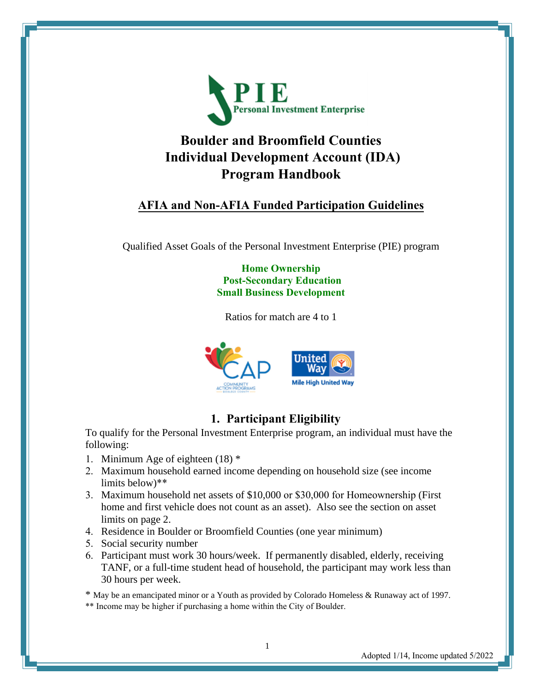

# **Boulder and Broomfield Counties Individual Development Account (IDA) Program Handbook**

## **AFIA and Non-AFIA Funded Participation Guidelines**

Qualified Asset Goals of the Personal Investment Enterprise (PIE) program

#### **Home Ownership Post-Secondary Education Small Business Development**

Ratios for match are 4 to 1



## **1. Participant Eligibility**

To qualify for the Personal Investment Enterprise program, an individual must have the following:

- 1. Minimum Age of eighteen (18) \*
- 2. Maximum household earned income depending on household size (see income limits below)\*\*
- 3. Maximum household net assets of \$10,000 or \$30,000 for Homeownership (First home and first vehicle does not count as an asset). Also see the section on asset limits on page 2.
- 4. Residence in Boulder or Broomfield Counties (one year minimum)
- 5. Social security number
- 6. Participant must work 30 hours/week. If permanently disabled, elderly, receiving TANF, or a full-time student head of household, the participant may work less than 30 hours per week.

\* May be an emancipated minor or a Youth as provided by Colorado Homeless & Runaway act of 1997. \*\* Income may be higher if purchasing a home within the City of Boulder.

Adopted 1/14, Income updated 5/2022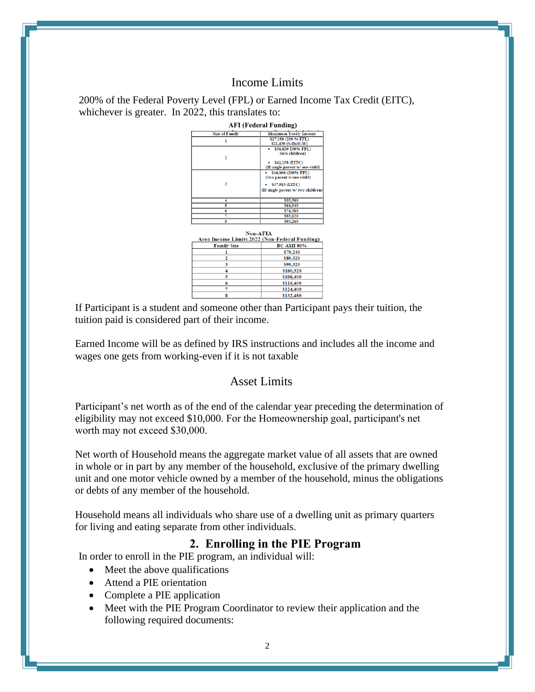### Income Limits

200% of the Federal Poverty Level (FPL) or Earned Income Tax Credit (EITC), whichever is greater. In 2022, this translates to: **AFI (Federal Funding)**<br> **Maximum Yearly Inc 1996**<br> **ARELY AND SETLY**<br> **EXPLAYED SETLY**<br> **EXPLAYED SETLY Size of Family**  $\mathbf{1}$ 



If Participant is a student and someone other than Participant pays their tuition, the tuition paid is considered part of their income.

Earned Income will be as defined by IRS instructions and includes all the income and wages one gets from working-even if it is not taxable

### Asset Limits

Participant's net worth as of the end of the calendar year preceding the determination of eligibility may not exceed \$10,000. For the Homeownership goal, participant's net worth may not exceed \$30,000.

Net worth of Household means the aggregate market value of all assets that are owned in whole or in part by any member of the household, exclusive of the primary dwelling unit and one motor vehicle owned by a member of the household, minus the obligations or debts of any member of the household.

Household means all individuals who share use of a dwelling unit as primary quarters for living and eating separate from other individuals.

#### **2. Enrolling in the PIE Program**

In order to enroll in the PIE program, an individual will:

- Meet the above qualifications
- Attend a PIE orientation
- Complete a PIE application
- Meet with the PIE Program Coordinator to review their application and the following required documents: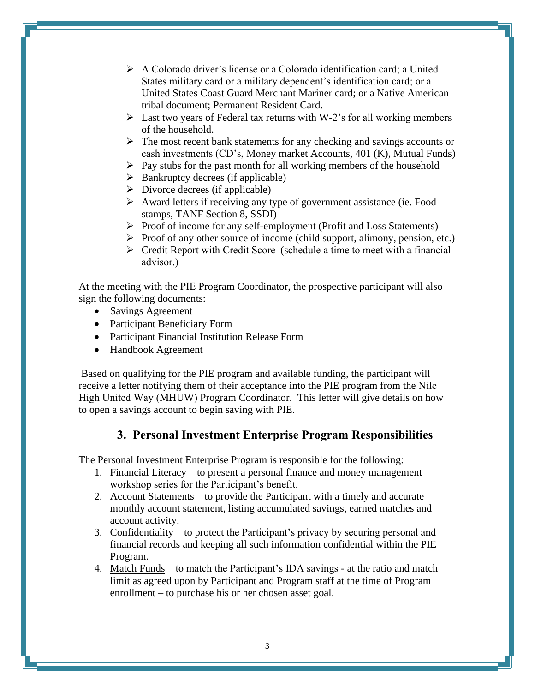- ➢ A Colorado driver's license or a Colorado identification card; a United States military card or a military dependent's identification card; or a United States Coast Guard Merchant Mariner card; or a Native American tribal document; Permanent Resident Card.
- $\triangleright$  Last two years of Federal tax returns with W-2's for all working members of the household.
- ➢ The most recent bank statements for any checking and savings accounts or cash investments (CD's, Money market Accounts, 401 (K), Mutual Funds)
- $\triangleright$  Pay stubs for the past month for all working members of the household
- $\triangleright$  Bankruptcy decrees (if applicable)
- $\triangleright$  Divorce decrees (if applicable)
- ➢ Award letters if receiving any type of government assistance (ie. Food stamps, TANF Section 8, SSDI)
- ➢ Proof of income for any self-employment (Profit and Loss Statements)
- ➢ Proof of any other source of income (child support, alimony, pension, etc.)
- ➢ Credit Report with Credit Score (schedule a time to meet with a financial advisor.)

At the meeting with the PIE Program Coordinator, the prospective participant will also sign the following documents:

- Savings Agreement
- Participant Beneficiary Form
- Participant Financial Institution Release Form
- Handbook Agreement

 Based on qualifying for the PIE program and available funding, the participant will receive a letter notifying them of their acceptance into the PIE program from the Nile High United Way (MHUW) Program Coordinator. This letter will give details on how to open a savings account to begin saving with PIE.

#### **3. Personal Investment Enterprise Program Responsibilities**

The Personal Investment Enterprise Program is responsible for the following:

- 1. Financial Literacy to present a personal finance and money management workshop series for the Participant's benefit.
- 2. Account Statements to provide the Participant with a timely and accurate monthly account statement, listing accumulated savings, earned matches and account activity.
- 3. Confidentiality to protect the Participant's privacy by securing personal and financial records and keeping all such information confidential within the PIE Program.
- 4. Match Funds to match the Participant's IDA savings at the ratio and match limit as agreed upon by Participant and Program staff at the time of Program enrollment – to purchase his or her chosen asset goal.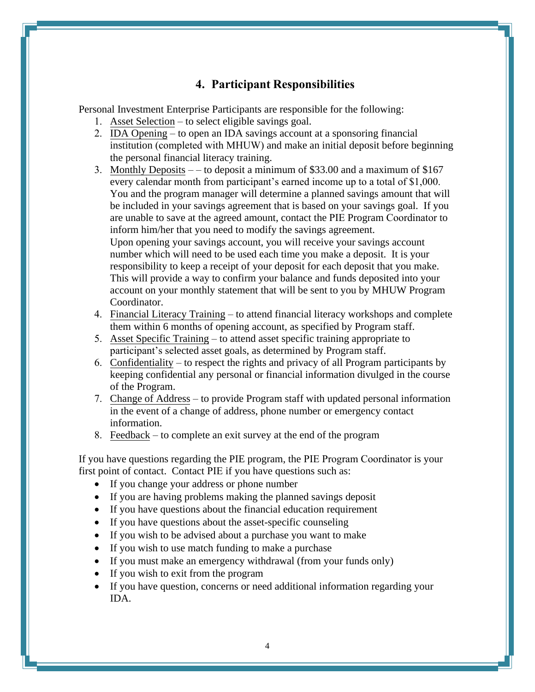## **4. Participant Responsibilities**

Personal Investment Enterprise Participants are responsible for the following:

- 1. Asset Selection to select eligible savings goal.
- 2. IDA Opening to open an IDA savings account at a sponsoring financial institution (completed with MHUW) and make an initial deposit before beginning the personal financial literacy training.
- 3. Monthly Deposits – to deposit a minimum of \$33.00 and a maximum of \$167 every calendar month from participant's earned income up to a total of \$1,000. You and the program manager will determine a planned savings amount that will be included in your savings agreement that is based on your savings goal. If you are unable to save at the agreed amount, contact the PIE Program Coordinator to inform him/her that you need to modify the savings agreement. Upon opening your savings account, you will receive your savings account number which will need to be used each time you make a deposit. It is your responsibility to keep a receipt of your deposit for each deposit that you make. This will provide a way to confirm your balance and funds deposited into your account on your monthly statement that will be sent to you by MHUW Program Coordinator.
- 4. Financial Literacy Training to attend financial literacy workshops and complete them within 6 months of opening account, as specified by Program staff.
- 5. Asset Specific Training to attend asset specific training appropriate to participant's selected asset goals, as determined by Program staff.
- 6. Confidentiality to respect the rights and privacy of all Program participants by keeping confidential any personal or financial information divulged in the course of the Program.
- 7. Change of Address to provide Program staff with updated personal information in the event of a change of address, phone number or emergency contact information.
- 8. Feedback to complete an exit survey at the end of the program

If you have questions regarding the PIE program, the PIE Program Coordinator is your first point of contact. Contact PIE if you have questions such as:

- If you change your address or phone number
- If you are having problems making the planned savings deposit
- If you have questions about the financial education requirement
- If you have questions about the asset-specific counseling
- If you wish to be advised about a purchase you want to make
- If you wish to use match funding to make a purchase
- If you must make an emergency withdrawal (from your funds only)
- If you wish to exit from the program
- If you have question, concerns or need additional information regarding your IDA.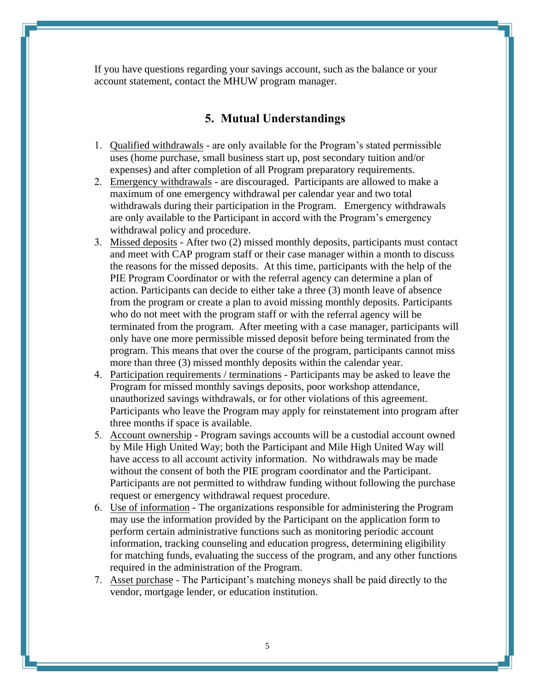If you have questions regarding your savings account, such as the balance or your account statement, contact the MHUW program manager.

#### **5. Mutual Understandings**

- 1. Qualified withdrawals are only available for the Program's stated permissible uses (home purchase, small business start up, post secondary tuition and/or expenses) and after completion of all Program preparatory requirements.
- 2. Emergency withdrawals are discouraged. Participants are allowed to make a maximum of one emergency withdrawal per calendar year and two total withdrawals during their participation in the Program. Emergency withdrawals are only available to the Participant in accord with the Program's emergency withdrawal policy and procedure.
- 3. Missed deposits After two (2) missed monthly deposits, participants must contact and meet with CAP program staff or their case manager within a month to discuss the reasons for the missed deposits. At this time, participants with the help of the PIE Program Coordinator or with the referral agency can determine a plan of action. Participants can decide to either take a three (3) month leave of absence from the program or create a plan to avoid missing monthly deposits. Participants who do not meet with the program staff or with the referral agency will be terminated from the program. After meeting with a case manager, participants will only have one more permissible missed deposit before being terminated from the program. This means that over the course of the program, participants cannot miss more than three (3) missed monthly deposits within the calendar year.
- 4. Participation requirements / terminations Participants may be asked to leave the Program for missed monthly savings deposits, poor workshop attendance, unauthorized savings withdrawals, or for other violations of this agreement. Participants who leave the Program may apply for reinstatement into program after three months if space is available.
- 5. Account ownership Program savings accounts will be a custodial account owned by Mile High United Way; both the Participant and Mile High United Way will have access to all account activity information. No withdrawals may be made without the consent of both the PIE program coordinator and the Participant. Participants are not permitted to withdraw funding without following the purchase request or emergency withdrawal request procedure.
- 6. Use of information The organizations responsible for administering the Program may use the information provided by the Participant on the application form to perform certain administrative functions such as monitoring periodic account information, tracking counseling and education progress, determining eligibility for matching funds, evaluating the success of the program, and any other functions required in the administration of the Program.
- 7. Asset purchase The Participant's matching moneys shall be paid directly to the vendor, mortgage lender, or education institution.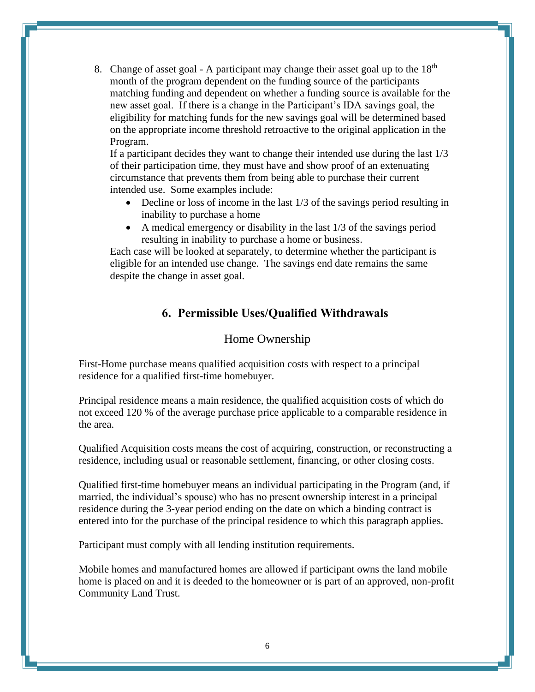8. Change of asset goal - A participant may change their asset goal up to the  $18<sup>th</sup>$ month of the program dependent on the funding source of the participants matching funding and dependent on whether a funding source is available for the new asset goal. If there is a change in the Participant's IDA savings goal, the eligibility for matching funds for the new savings goal will be determined based on the appropriate income threshold retroactive to the original application in the Program.

If a participant decides they want to change their intended use during the last 1/3 of their participation time, they must have and show proof of an extenuating circumstance that prevents them from being able to purchase their current intended use. Some examples include:

- Decline or loss of income in the last 1/3 of the savings period resulting in inability to purchase a home
- A medical emergency or disability in the last 1/3 of the savings period resulting in inability to purchase a home or business.

Each case will be looked at separately, to determine whether the participant is eligible for an intended use change. The savings end date remains the same despite the change in asset goal.

## **6. Permissible Uses/Qualified Withdrawals**

#### Home Ownership

First-Home purchase means qualified acquisition costs with respect to a principal residence for a qualified first-time homebuyer.

Principal residence means a main residence, the qualified acquisition costs of which do not exceed 120 % of the average purchase price applicable to a comparable residence in the area.

Qualified Acquisition costs means the cost of acquiring, construction, or reconstructing a residence, including usual or reasonable settlement, financing, or other closing costs.

Qualified first-time homebuyer means an individual participating in the Program (and, if married, the individual's spouse) who has no present ownership interest in a principal residence during the 3-year period ending on the date on which a binding contract is entered into for the purchase of the principal residence to which this paragraph applies.

Participant must comply with all lending institution requirements.

Mobile homes and manufactured homes are allowed if participant owns the land mobile home is placed on and it is deeded to the homeowner or is part of an approved, non-profit Community Land Trust.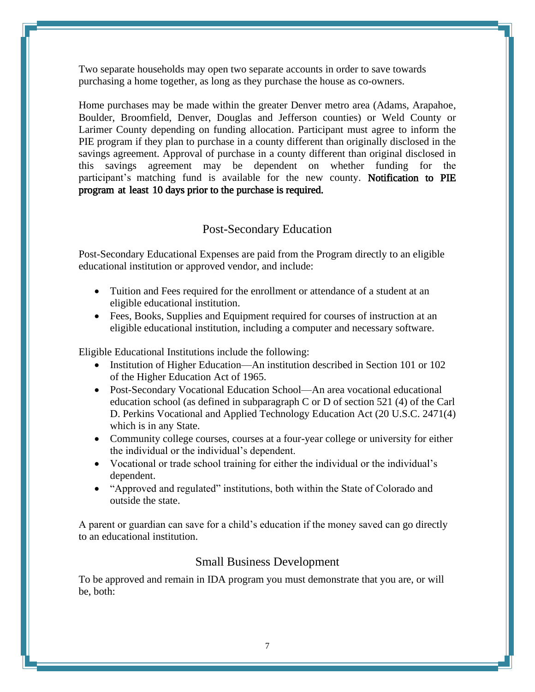Two separate households may open two separate accounts in order to save towards purchasing a home together, as long as they purchase the house as co-owners.

Home purchases may be made within the greater Denver metro area (Adams, Arapahoe, Boulder, Broomfield, Denver, Douglas and Jefferson counties) or Weld County or Larimer County depending on funding allocation. Participant must agree to inform the PIE program if they plan to purchase in a county different than originally disclosed in the savings agreement. Approval of purchase in a county different than original disclosed in this savings agreement may be dependent on whether funding for the participant's matching fund is available for the new county. Notification to PIE program at least 10 days prior to the purchase is required.

#### Post-Secondary Education

Post-Secondary Educational Expenses are paid from the Program directly to an eligible educational institution or approved vendor, and include:

- Tuition and Fees required for the enrollment or attendance of a student at an eligible educational institution.
- Fees, Books, Supplies and Equipment required for courses of instruction at an eligible educational institution, including a computer and necessary software.

Eligible Educational Institutions include the following:

- Institution of Higher Education—An institution described in Section 101 or 102 of the Higher Education Act of 1965.
- Post-Secondary Vocational Education School—An area vocational educational education school (as defined in subparagraph C or D of section 521 (4) of the Carl D. Perkins Vocational and Applied Technology Education Act (20 U.S.C. 2471(4) which is in any State.
- Community college courses, courses at a four-year college or university for either the individual or the individual's dependent.
- Vocational or trade school training for either the individual or the individual's dependent.
- "Approved and regulated" institutions, both within the State of Colorado and outside the state.

A parent or guardian can save for a child's education if the money saved can go directly to an educational institution.

#### Small Business Development

To be approved and remain in IDA program you must demonstrate that you are, or will be, both: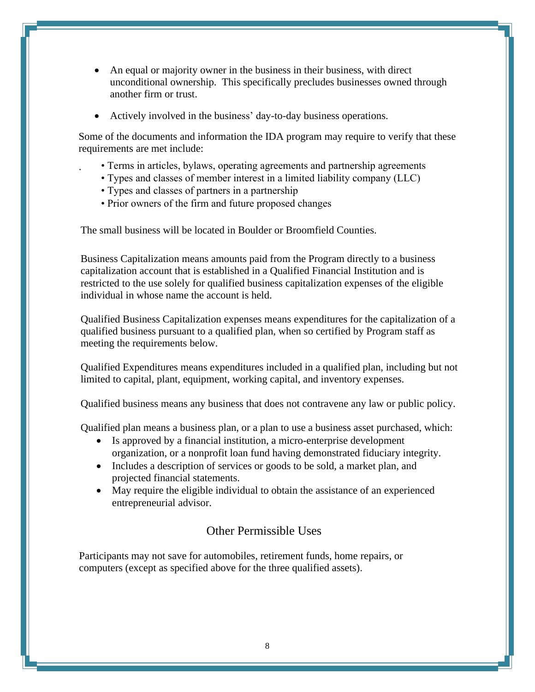- An equal or majority owner in the business in their business, with direct unconditional ownership. This specifically precludes businesses owned through another firm or trust.
- Actively involved in the business' day-to-day business operations.

Some of the documents and information the IDA program may require to verify that these requirements are met include:

- · Terms in articles, bylaws, operating agreements and partnership agreements
	- Types and classes of member interest in a limited liability company (LLC)
	- Types and classes of partners in a partnership
	- Prior owners of the firm and future proposed changes

The small business will be located in Boulder or Broomfield Counties.

Business Capitalization means amounts paid from the Program directly to a business capitalization account that is established in a Qualified Financial Institution and is restricted to the use solely for qualified business capitalization expenses of the eligible individual in whose name the account is held.

Qualified Business Capitalization expenses means expenditures for the capitalization of a qualified business pursuant to a qualified plan, when so certified by Program staff as meeting the requirements below.

Qualified Expenditures means expenditures included in a qualified plan, including but not limited to capital, plant, equipment, working capital, and inventory expenses.

Qualified business means any business that does not contravene any law or public policy.

Qualified plan means a business plan, or a plan to use a business asset purchased, which:

- Is approved by a financial institution, a micro-enterprise development organization, or a nonprofit loan fund having demonstrated fiduciary integrity.
- Includes a description of services or goods to be sold, a market plan, and projected financial statements.
- May require the eligible individual to obtain the assistance of an experienced entrepreneurial advisor.

## Other Permissible Uses

Participants may not save for automobiles, retirement funds, home repairs, or computers (except as specified above for the three qualified assets).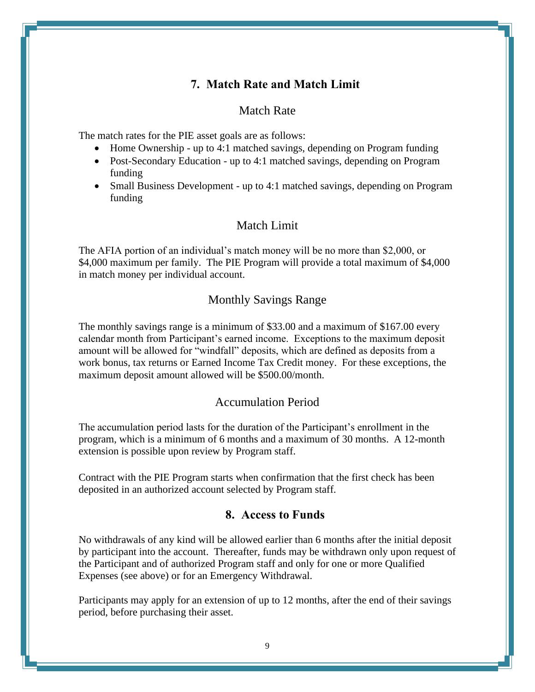## **7. Match Rate and Match Limit**

#### Match Rate

The match rates for the PIE asset goals are as follows:

- Home Ownership up to 4:1 matched savings, depending on Program funding
- Post-Secondary Education up to 4:1 matched savings, depending on Program funding
- Small Business Development up to 4:1 matched savings, depending on Program funding

### Match Limit

The AFIA portion of an individual's match money will be no more than \$2,000, or \$4,000 maximum per family. The PIE Program will provide a total maximum of \$4,000 in match money per individual account.

### Monthly Savings Range

The monthly savings range is a minimum of \$33.00 and a maximum of \$167.00 every calendar month from Participant's earned income. Exceptions to the maximum deposit amount will be allowed for "windfall" deposits, which are defined as deposits from a work bonus, tax returns or Earned Income Tax Credit money. For these exceptions, the maximum deposit amount allowed will be \$500.00/month.

#### Accumulation Period

The accumulation period lasts for the duration of the Participant's enrollment in the program, which is a minimum of 6 months and a maximum of 30 months. A 12-month extension is possible upon review by Program staff.

Contract with the PIE Program starts when confirmation that the first check has been deposited in an authorized account selected by Program staff.

#### **8. Access to Funds**

No withdrawals of any kind will be allowed earlier than 6 months after the initial deposit by participant into the account. Thereafter, funds may be withdrawn only upon request of the Participant and of authorized Program staff and only for one or more Qualified Expenses (see above) or for an Emergency Withdrawal.

Participants may apply for an extension of up to 12 months, after the end of their savings period, before purchasing their asset.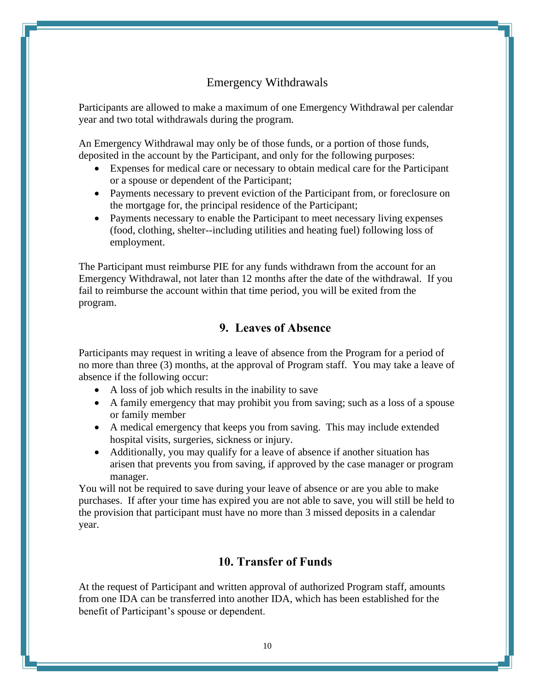## Emergency Withdrawals

Participants are allowed to make a maximum of one Emergency Withdrawal per calendar year and two total withdrawals during the program*.*

An Emergency Withdrawal may only be of those funds, or a portion of those funds, deposited in the account by the Participant, and only for the following purposes:

- Expenses for medical care or necessary to obtain medical care for the Participant or a spouse or dependent of the Participant;
- Payments necessary to prevent eviction of the Participant from, or foreclosure on the mortgage for, the principal residence of the Participant;
- Payments necessary to enable the Participant to meet necessary living expenses (food, clothing, shelter--including utilities and heating fuel) following loss of employment.

The Participant must reimburse PIE for any funds withdrawn from the account for an Emergency Withdrawal, not later than 12 months after the date of the withdrawal*.* If you fail to reimburse the account within that time period, you will be exited from the program.

## **9. Leaves of Absence**

Participants may request in writing a leave of absence from the Program for a period of no more than three (3) months, at the approval of Program staff. You may take a leave of absence if the following occur:

- A loss of job which results in the inability to save
- A family emergency that may prohibit you from saving; such as a loss of a spouse or family member
- A medical emergency that keeps you from saving. This may include extended hospital visits, surgeries, sickness or injury.
- Additionally, you may qualify for a leave of absence if another situation has arisen that prevents you from saving, if approved by the case manager or program manager.

You will not be required to save during your leave of absence or are you able to make purchases. If after your time has expired you are not able to save, you will still be held to the provision that participant must have no more than 3 missed deposits in a calendar year.

### **10. Transfer of Funds**

At the request of Participant and written approval of authorized Program staff, amounts from one IDA can be transferred into another IDA, which has been established for the benefit of Participant's spouse or dependent.